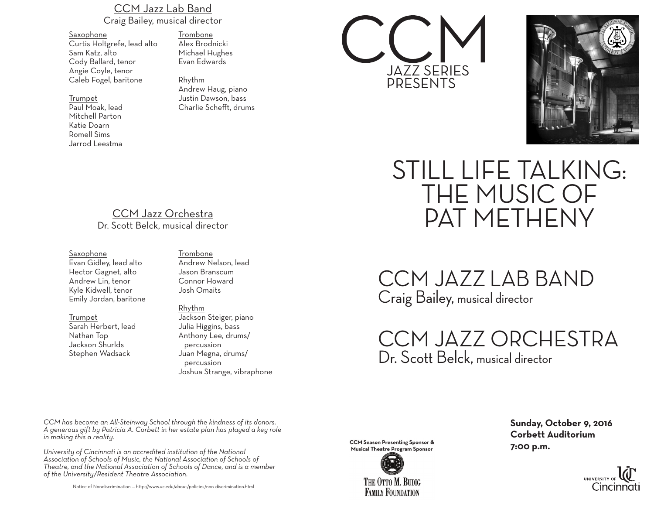### CCM Jazz Lab Band Craig Bailey, musical director

Saxophone Curtis Holtgrefe, lead alto Sam Katz, alto Cody Ballard, tenor Angie Coyle, tenor Caleb Fogel, baritone

#### Trumpet

Paul Moak, lead Mitchell Parton Katie Doarn Romell Sims Jarrod Leestma

Trombone Alex Brodnicki Michael Hughes Evan Edwards

Rhythm Andrew Haug, piano Justin Dawson, bass Charlie Schefft, drums





## CCM Jazz Orchestra Dr. Scott Belck, musical director

#### Saxophone

Evan Gidley, lead alto Hector Gagnet, alto Andrew Lin, tenor Kyle Kidwell, tenor Emily Jordan, baritone

Trumpet Sarah Herbert, lead Nathan Top Jackson Shurlds Stephen Wadsack

Trombone Andrew Nelson, lead Jason Branscum Connor Howard Josh Omaits

Rhythm Jackson Steiger, piano Julia Higgins, bass Anthony Lee, drums/ percussion Juan Megna, drums/ percussion Joshua Strange, vibraphone

*CCM has become an All-Steinway School through the kindness of its donors. A generous gift by Patricia A. Corbett in her estate plan has played a key role in making this a reality.*

*University of Cincinnati is an accredited institution of the National Association of Schools of Music, the National Association of Schools of Theatre, and the National Association of Schools of Dance, and is a member of the University/Resident Theatre Association.*

Notice of Nondiscrimination — http://www.uc.edu/about/policies/non-discrimination.html

STILL LIFE TALKING: THE MUSIC OF PAT METHENY

CCM JAZZ LAB BAND Craig Bailey, musical director

CCM JAZZ ORCHESTRA Dr. Scott Belck, musical director

**CCM Season Presenting Sponsor & Musical Theatre Program Sponsor** 



**Sunday, October 9, 2016 Corbett Auditorium 7:00 p.m.**